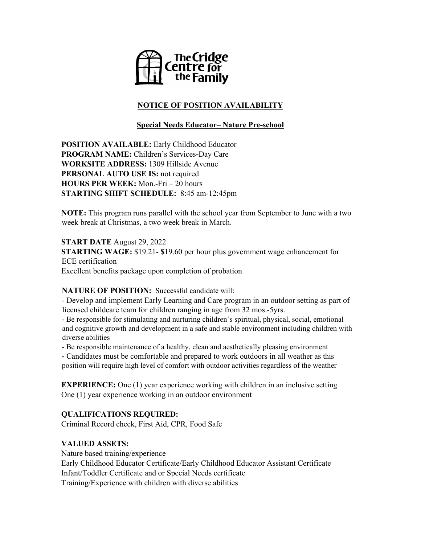

# **NOTICE OF POSITION AVAILABILITY**

#### **Special Needs Educator– Nature Pre-school**

**POSITION AVAILABLE:** Early Childhood Educator **PROGRAM NAME:** Children's Services**-**Day Care **WORKSITE ADDRESS:** 1309 Hillside Avenue **PERSONAL AUTO USE IS:** not required **HOURS PER WEEK:** Mon.-Fri – 20 hours **STARTING SHIFT SCHEDULE:** 8:45 am-12:45pm

**NOTE:** This program runs parallel with the school year from September to June with a two week break at Christmas, a two week break in March.

**START DATE** August 29, 2022 **STARTING WAGE:** \$19.21- **\$**19.60 per hour plus government wage enhancement for ECE certification Excellent benefits package upon completion of probation

## **NATURE OF POSITION:** Successful candidate will:

- Develop and implement Early Learning and Care program in an outdoor setting as part of licensed childcare team for children ranging in age from 32 mos.-5yrs.

- Be responsible for stimulating and nurturing children's spiritual, physical, social, emotional and cognitive growth and development in a safe and stable environment including children with diverse abilities

- Be responsible maintenance of a healthy, clean and aesthetically pleasing environment

**-** Candidates must be comfortable and prepared to work outdoors in all weather as this position will require high level of comfort with outdoor activities regardless of the weather

**EXPERIENCE:** One (1) year experience working with children in an inclusive setting One (1) year experience working in an outdoor environment

## **QUALIFICATIONS REQUIRED:**

Criminal Record check, First Aid, CPR, Food Safe

## **VALUED ASSETS:**

Nature based training/experience

Early Childhood Educator Certificate/Early Childhood Educator Assistant Certificate Infant/Toddler Certificate and or Special Needs certificate Training/Experience with children with diverse abilities